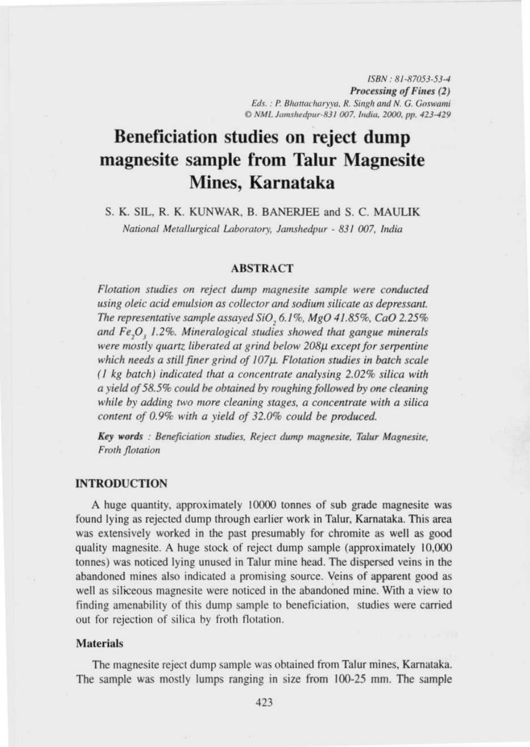ISBN : 81-87053-53-4 **Processing** of Fines (2) Eds.: P. Bhattacharyva, R. Singh and N. G. Goswami © NML Jamshedpur-831 007. India. 2000. pp. 423-429

# **Beneficiation studies on reject dump magnesite sample from Talur Magnesite Mines, Karnataka**

S. K. SIL, R. K. KUNWAR, B. BANERJEE and S. C. MAULIK *National Metallurgical Laboratory, Jamshedpur - 831 007, India* 

# ABSTRACT

*Flotation* studies *on reject dump magnesite sample were conducted using oleic acid emulsion* as *collector and sodium silicate* as *depressant. The representative sample* assayed *SiO, 6.1 %, MgO 41.85%, CaO 2.25% and Fe,O3 1.2%. Mineralogical studies showed that gangue minerals were mostly quartz liberated at grind below* 208p *except for serpentine* which *needs a still finer grind of 107p. Flotation studies in batch scale (1 kg batch) indicated that a concentrate analysing 2.02% silica with a Yield of* 58.5% *could he obtained by roughing followed by one cleaning while by adding two more cleaning stages, a concentrate with a silica content of 0.9% with a yield of 32.0% could be produced.*

*Key words : Beneficiation studies, Reject dump inagnesite, Talur Magnesiie, Froth flotation*

## **INTROD**UCTION

A huge quantity, approximately 10000 tonnes of sub grade magnesite was found lying as rejected dump through earlier work in Talur, Karnataka. This area was extensively worked in the past presumably for chromite as well as good quality magnesite. A huge stock of reject dump sample (approximately 10,000 tonnes) was noticed lying unused in Talur mine head. The dispersed veins in the abandoned mines also indicated a promising source. Veins of apparent good as well as siliceous magnesite were noticed in the abandoned mine. With a view to finding amenability of this dump sample to beneticiation. studies were carried out for rejection of silica by froth flotation.

## Materials

The magnesite reject dump sample was obtained from Talur mines, Karnataka. The sample was mostly lumps ranging in size from 100-25 mm. The sample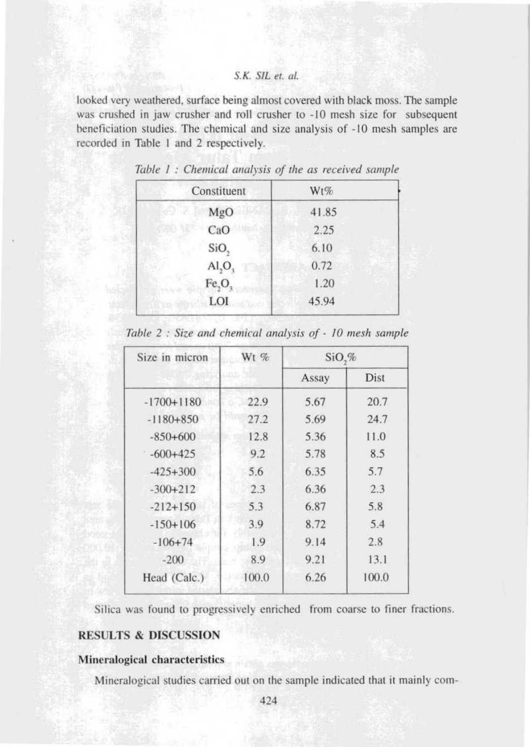looked very weathered, surface being almost covered with black moss. The sample was crushed in jaw crusher and roll crusher to -10 mesh size for subsequent heneficiation studies. The chemical and size analysis of -10 mesh samples are recorded in Table I and 2 respectively.

| Constituent                    | Wt%   |  |
|--------------------------------|-------|--|
| MgO                            | 41.85 |  |
| CaO                            | 2.25  |  |
| SiO <sub>2</sub>               | 6.10  |  |
| AI <sub>2</sub> O <sub>3</sub> | 0.72  |  |
| Fe <sub>2</sub> O <sub>3</sub> | 1.20  |  |
| LOI                            | 45.94 |  |

| Table 1: Chemical analysis of the as received sample |  |  |  |  |  |  |  |  |  |  |  |
|------------------------------------------------------|--|--|--|--|--|--|--|--|--|--|--|
|------------------------------------------------------|--|--|--|--|--|--|--|--|--|--|--|

|  |  |  |  | Table 2 : Size and chemical analysis of - 10 mesh sample |  |  |  |  |  |  |  |
|--|--|--|--|----------------------------------------------------------|--|--|--|--|--|--|--|
|--|--|--|--|----------------------------------------------------------|--|--|--|--|--|--|--|

| Size in micron | $Wt$ % | $SiO, \%$ |       |
|----------------|--------|-----------|-------|
|                |        | Assay     | Dist  |
| $-1700+1180$   | 22.9   | 5.67      | 20.7  |
| $-1180+850$    | 27.2   | 5.69      | 24.7  |
| $-850+600$     | 12.8   | 5.36      | 11.0  |
| $-600+425$     | 9.2    | 5.78      | 8.5   |
| $-425+300$     | 5.6    | 6.35      | 5.7   |
| $-300+212$     | 2.3    | 6.36      | 2.3   |
| $-212+150$     | 5.3    | 6.87      | 5.8   |
| $-150+106$     | 3.9    | 8.72      | 5.4   |
| $-106+74$      | 1.9    | 9.14      | 2.8   |
| $-200$         | 8.9    | 9.21      | 13.1  |
| Head (Calc.)   | 100.0  | 6.26      | 100.0 |

Silica was found to progressively enriched from coarse to finer fractions.

# RESULTS & DISCUSSION

### **Mineralogical characteristics**

Mineralogical studies carried out on the sample indicated that it mainly com-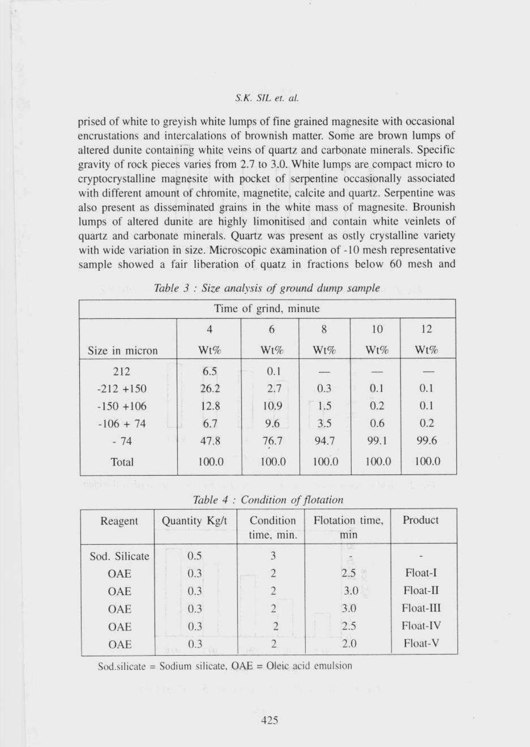prised of white to greyish white lumps of fine grained magnesite with occasional encrustations and intercalations of brownish matter. Some are brown lumps of altered dunite containing white veins of quartz and carbonate minerals. Specific gravity of rock pieces varies from 2.7 to 3.0. White lumps are compact micro to cryptocrystalline magnesite with pocket of serpentine occasionally associated with different amount of chromite, magnetite, calcite and quartz. Serpentine was also present as disseminated grains in the white mass of magnesite. Brounish lumps of altered dunite are highly limonitised and contain white veinlets of quartz and carbonate minerals. Quartz was present as ostly crystalline variety with wide variation in size. Microscopic examination of -10 mesh representative sample showed a fair liberation of quatz in fractions below 60 mesh and

|                |                       | Time of grind, minute |            |           |           |
|----------------|-----------------------|-----------------------|------------|-----------|-----------|
| Size in micron | $\overline{4}$<br>Wt% | 6<br>Wt%              | 8<br>Wt%   | 10<br>Wt% | 12<br>Wt% |
| 212            | 6.5                   | 0.1                   | <b>TIP</b> |           | $-0.5$    |
| $-212 + 150$   | 26.2                  | 2.7                   | 0.3        | 0.1       | 0.1       |
| $-150 + 106$   | 12.8                  | 10.9                  | 1.5        | 0.2       | 0.1       |
| $-106 + 74$    | 6.7                   | 9.6                   | 3.5        | 0.6       | 0.2       |
| $-74$          | 47.8                  | 76.7                  | 94.7       | 99.1      | 99.6      |
| Total          | 100.0                 | 100.0                 | 100.0      | 100.0     | 100.0     |

| Table 3 : Size analysis of ground dump sample |  |  |  |  |  |  |  |  |  |  |
|-----------------------------------------------|--|--|--|--|--|--|--|--|--|--|
|-----------------------------------------------|--|--|--|--|--|--|--|--|--|--|

*Tclble 4 : Condition of flotation*

| Reagent       | Quantity Kg/t | Condition<br>time, min. | Flotation time,<br>min | Product     |
|---------------|---------------|-------------------------|------------------------|-------------|
| Sod. Silicate | 0.5           |                         |                        |             |
| OAE           | 0.3           | $\overline{c}$          | 2.5                    | Float-I     |
| OAE           | 0.3           |                         | 3.0                    | Float-II    |
| OAE           | 0.3           |                         | 3.0                    | $Float-III$ |
| OAE           | 0.3           |                         | 2.5                    | Float-IV    |
| OAE           | 0.3           |                         | 2.0                    | Float-V     |

Sod.silicate = Sodium silicate,  $OAE = O$ leic acid emulsion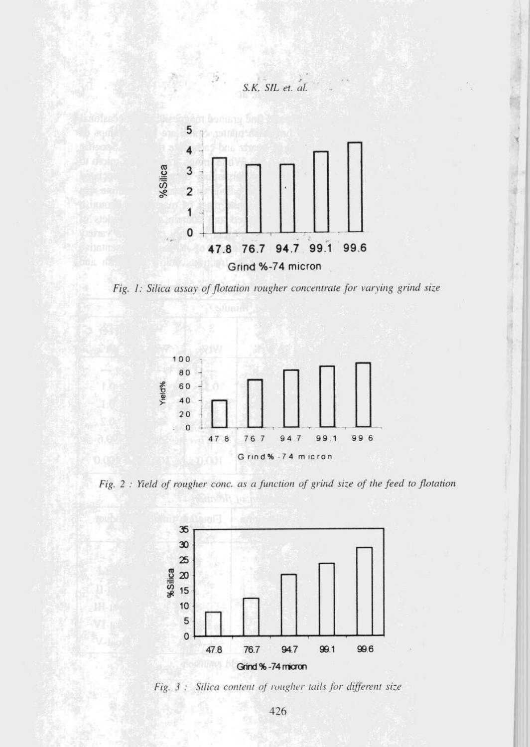





*Fig. 2 : Yield of rougher conc. as a fiurction of grind size of the feed to flotation*



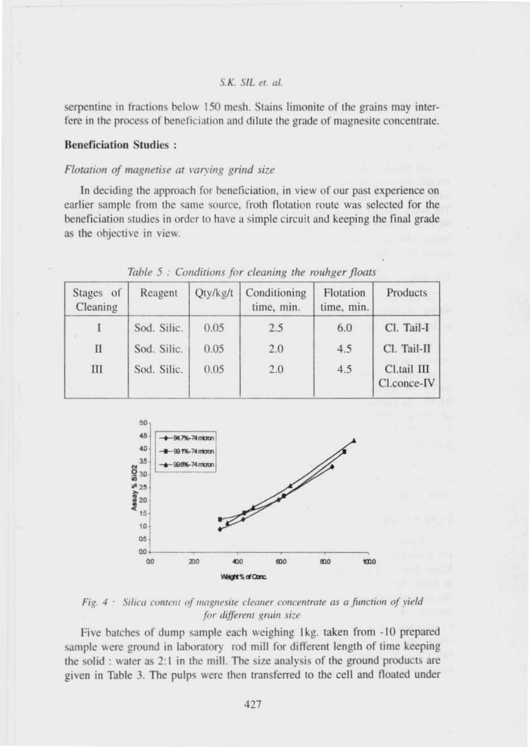**serpentine in fractions below 150 mesh** . **Stains limonite** of the grains **may interfere in the process of heneliciation and dilute** the grade of magnesite **concentrate.**

#### **leneficiation** Studies :

#### *Flotation of magnetise at varving grind size*

In deciding the approach for beneficiation, in view of our past experience on earlier sample from the same source, froth flotation route was selected for the heneficiation studies in order to have a simple circuit and keeping the final grade as the objective in view.

| Stages of<br>Cleaning | Reagent     | Qty/kg/t | Conditioning<br>time, min. | Flotation<br>time, min. | Products                   |
|-----------------------|-------------|----------|----------------------------|-------------------------|----------------------------|
| $\sim$                | Sod. Silic. | 0.05     | 2.5                        | 6.0                     | Cl. Tail-I                 |
| П                     | Sod. Silic. | 0.05     | 2.0                        | 4.5                     | Cl. Tail-II                |
| Ш                     | Sod. Silic. | 0.05     | 2.0                        | 4.5                     | Cl.tail III<br>Cl.conce-IV |

Table  $5:$  Conditions for cleaning the rouhger floats



Fig. 4 : Silica content of magnesite cleaner concentrate as a function of vield for different grain size

Five hatches of dump sample each weighing Ikg. taken from -10 prepared sample were ground in laboratory rod mill for different length of time keeping the solid : water as 2:1 in the mill. The size analysis of the ground products are given in Table 3. The pulps were then transferred to the cell and floated under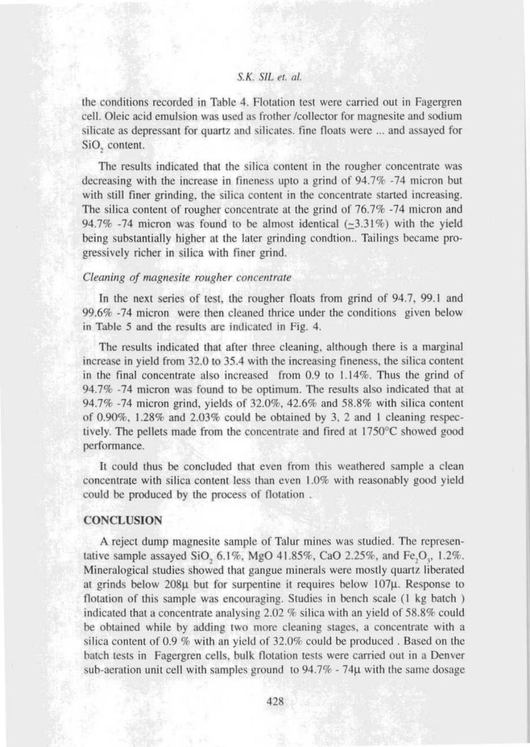**the conditions** recorded **in Table 4. Flotation test were carried out in Fagergren cell. Oleic acid emulsion was used as frother** /**collector for magnesite and sodium silicate as depressant for quartz** and silicates. **tine floats were ... and assayed for SiO, content.**

**The results indicated that the silica content in the rougher concentrate was** decreasing with the increase in fineness upto a grind of 94.7% -74 micron but **with still finer grinding, the silica content in the concentrate started increasing. The silica content of rougher concentrate at the grind** of 76.7% -**74 micron and** 94.7% -74 micron was found to be almost identical  $(-3.31\%)$  with the yield being substantially higher at the later grinding condtion.. Tailings became pro**gressively richer in silica with finer grind.**

#### *Cleaning of magnesite rougher concentrate*

In the next series of test, the rougher floats from grind of 94.7, 99.1 and 99.6% -74 micron were then cleaned thrice under the conditions given below in Table 5 and the results arc indicated in Fig. 4.

The results indicated that after three cleaning, although there is a marginal increase in yield from 32.0 to 35.4 with the increasing fineness, the silica content in the final concentrate also increased from 0.9 to 1.14%. Thus the grind of 94.7% -74 micron was found to be optimum. The results also indicated that at 94.7% -74 micron grind, yields of 32.0%, 42.6% and 58.8% with silica content of 0.90%, 1.28% and 2.03% could he obtained by 3. 2 and I cleaning respectively. The pellets made from the concentrate and tired at 1750'C showed good performance.

It could thus he concluded that even from this weathered sample a clean concentrate with silica content less than even 1.0% with reasonably good yield could be produced by the process of flotation .

## **CONCLUSION**

**A reject dump magnesite sample of Talur mines was studied. The representative sample assayed SiO, 6.1%, MgO** 41.85%, CaO **2.25%. and Fe** ,O,, 1.2%. **Mineralogical studies showed that gangue minerals were mostly quartz liberated at grinds below 208µ but for surpentine it requires below 107µ** . **Response to** flotation of this sample was encouraging. Studies in bench scale (1 kg batch) indicated that **a concentrate analysing 2** .02 % silica **with an yield of 58** . **8% could he obtained while by adding two more cleaning stages, a concentrate with a silica content of 0.9 '/ with an** yield of 32. **0% could he produced . Based on the hatch tests in Fagergren cells, hulk flotation tests were carried out in a Denver sub-aeration unit cell with samples** ground to 94.7% - **74.t with the same dosage**